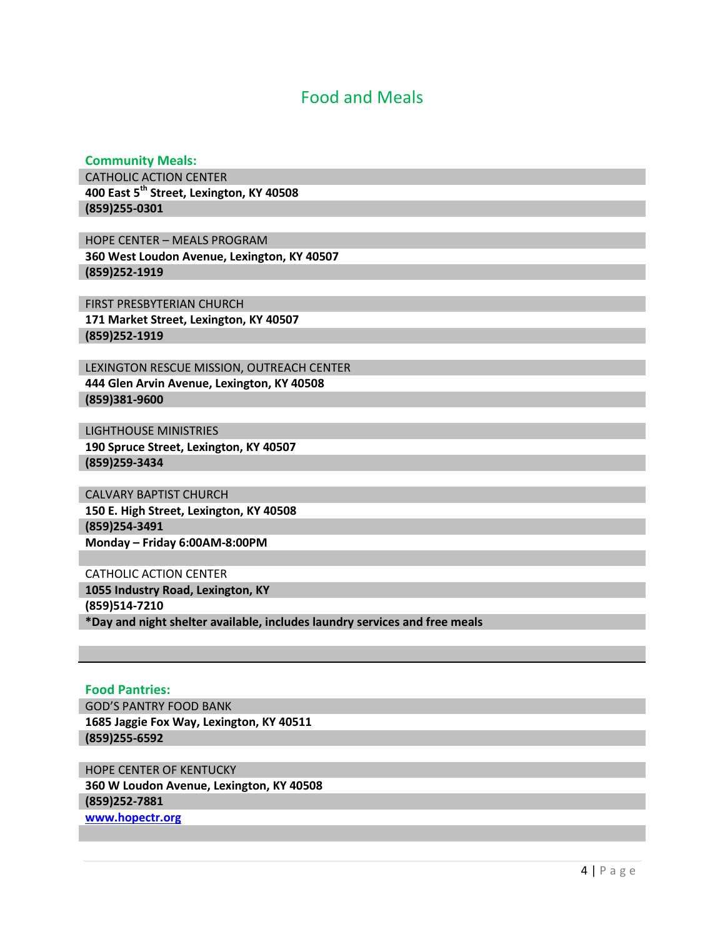## Food and Meals

#### **Community Meals:**

CATHOLIC ACTION CENTER **400 East 5th Street, Lexington, KY 40508 (859)255-0301**

HOPE CENTER – MEALS PROGRAM **360 West Loudon Avenue, Lexington, KY 40507 (859)252-1919**

FIRST PRESBYTERIAN CHURCH **171 Market Street, Lexington, KY 40507 (859)252-1919**

LEXINGTON RESCUE MISSION, OUTREACH CENTER **444 Glen Arvin Avenue, Lexington, KY 40508 (859)381-9600**

LIGHTHOUSE MINISTRIES **190 Spruce Street, Lexington, KY 40507 (859)259-3434**

CALVARY BAPTIST CHURCH **150 E. High Street, Lexington, KY 40508 (859)254-3491 Monday – Friday 6:00AM-8:00PM**

CATHOLIC ACTION CENTER **1055 Industry Road, Lexington, KY (859)514-7210 \*Day and night shelter available, includes laundry services and free meals**

**Food Pantries:** GOD'S PANTRY FOOD BANK **1685 Jaggie Fox Way, Lexington, KY 40511 (859)255-6592**

HOPE CENTER OF KENTUCKY **360 W Loudon Avenue, Lexington, KY 40508 (859)252-7881 www.hopectr.org**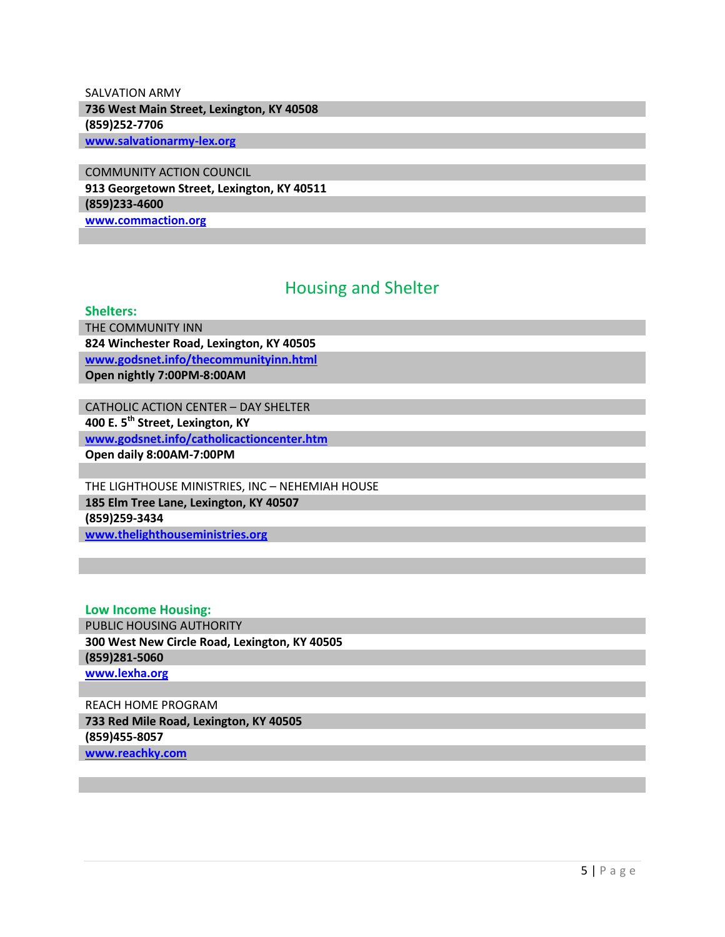### SALVATION ARMY **736 West Main Street, Lexington, KY 40508 (859)252-7706 www.salvationarmy-lex.org**

COMMUNITY ACTION COUNCIL **913 Georgetown Street, Lexington, KY 40511 (859)233-4600**

**www.commaction.org**

# Housing and Shelter

#### **Shelters:**

THE COMMUNITY INN **824 Winchester Road, Lexington, KY 40505 www.godsnet.info/thecommunityinn.html Open nightly 7:00PM-8:00AM**

CATHOLIC ACTION CENTER – DAY SHELTER **400 E. 5th Street, Lexington, KY www.godsnet.info/catholicactioncenter.htm Open daily 8:00AM-7:00PM**

THE LIGHTHOUSE MINISTRIES, INC – NEHEMIAH HOUSE **185 Elm Tree Lane, Lexington, KY 40507 (859)259-3434 www.thelighthouseministries.org**

**Low Income Housing:** PUBLIC HOUSING AUTHORITY **300 West New Circle Road, Lexington, KY 40505 (859)281-5060 www.lexha.org**

REACH HOME PROGRAM **733 Red Mile Road, Lexington, KY 40505 (859)455-8057 www.reachky.com**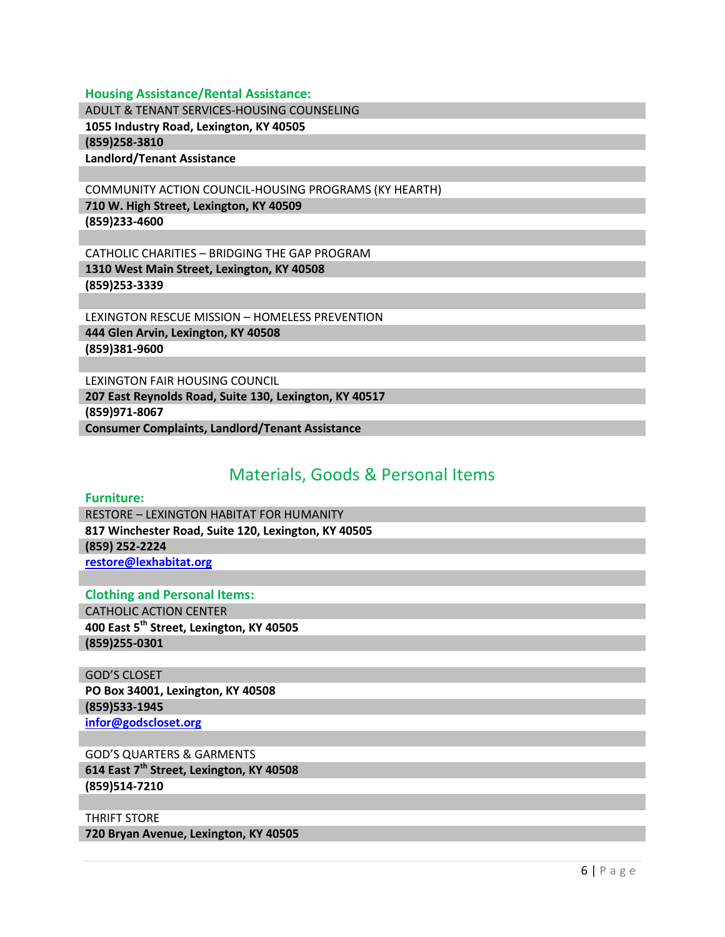#### **Housing Assistance/Rental Assistance:**

ADULT & TENANT SERVICES-HOUSING COUNSELING

**1055 Industry Road, Lexington, KY 40505**

**(859)258-3810**

**Landlord/Tenant Assistance**

COMMUNITY ACTION COUNCIL-HOUSING PROGRAMS (KY HEARTH)

**710 W. High Street, Lexington, KY 40509 (859)233-4600**

CATHOLIC CHARITIES – BRIDGING THE GAP PROGRAM **1310 West Main Street, Lexington, KY 40508 (859)253-3339**

LEXINGTON RESCUE MISSION – HOMELESS PREVENTION **444 Glen Arvin, Lexington, KY 40508 (859)381-9600**

LEXINGTON FAIR HOUSING COUNCIL **207 East Reynolds Road, Suite 130, Lexington, KY 40517 (859)971-8067 Consumer Complaints, Landlord/Tenant Assistance**

# Materials, Goods & Personal Items

#### **Furniture:**

RESTORE – LEXINGTON HABITAT FOR HUMANITY **817 Winchester Road, Suite 120, Lexington, KY 40505 (859) 252-2224 restore@lexhabitat.org**

**Clothing and Personal Items:**

CATHOLIC ACTION CENTER **400 East 5th Street, Lexington, KY 40505 (859)255-0301**

GOD'S CLOSET **PO Box 34001, Lexington, KY 40508 (859)533-1945 infor@godscloset.org**

GOD'S QUARTERS & GARMENTS **614 East 7th Street, Lexington, KY 40508 (859)514-7210**

THRIFT STORE **720 Bryan Avenue, Lexington, KY 40505**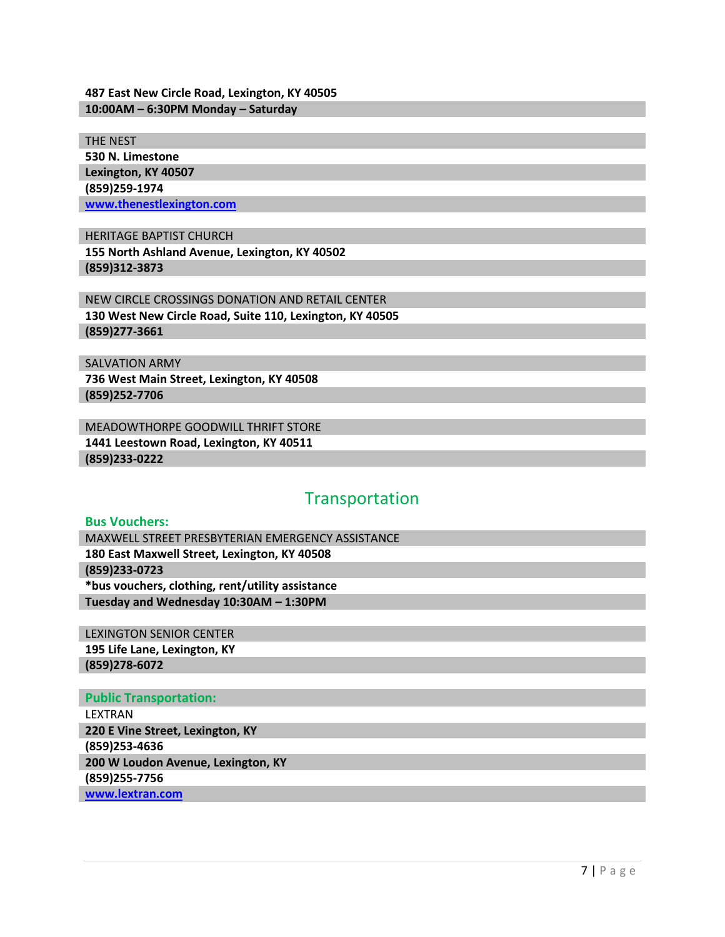#### **487 East New Circle Road, Lexington, KY 40505 10:00AM – 6:30PM Monday – Saturday**

THE NEST

**530 N. Limestone Lexington, KY 40507 (859)259-1974 www.thenestlexington.com**

HERITAGE BAPTIST CHURCH **155 North Ashland Avenue, Lexington, KY 40502 (859)312-3873**

NEW CIRCLE CROSSINGS DONATION AND RETAIL CENTER **130 West New Circle Road, Suite 110, Lexington, KY 40505 (859)277-3661**

SALVATION ARMY **736 West Main Street, Lexington, KY 40508 (859)252-7706**

MEADOWTHORPE GOODWILL THRIFT STORE **1441 Leestown Road, Lexington, KY 40511 (859)233-0222**

# Transportation

### **Bus Vouchers:**

MAXWELL STREET PRESBYTERIAN EMERGENCY ASSISTANCE **180 East Maxwell Street, Lexington, KY 40508 (859)233-0723 \*bus vouchers, clothing, rent/utility assistance Tuesday and Wednesday 10:30AM – 1:30PM**

LEXINGTON SENIOR CENTER **195 Life Lane, Lexington, KY (859)278-6072**

### **Public Transportation:**

LEXTRAN **220 E Vine Street, Lexington, KY (859)253-4636 200 W Loudon Avenue, Lexington, KY (859)255-7756 www.lextran.com**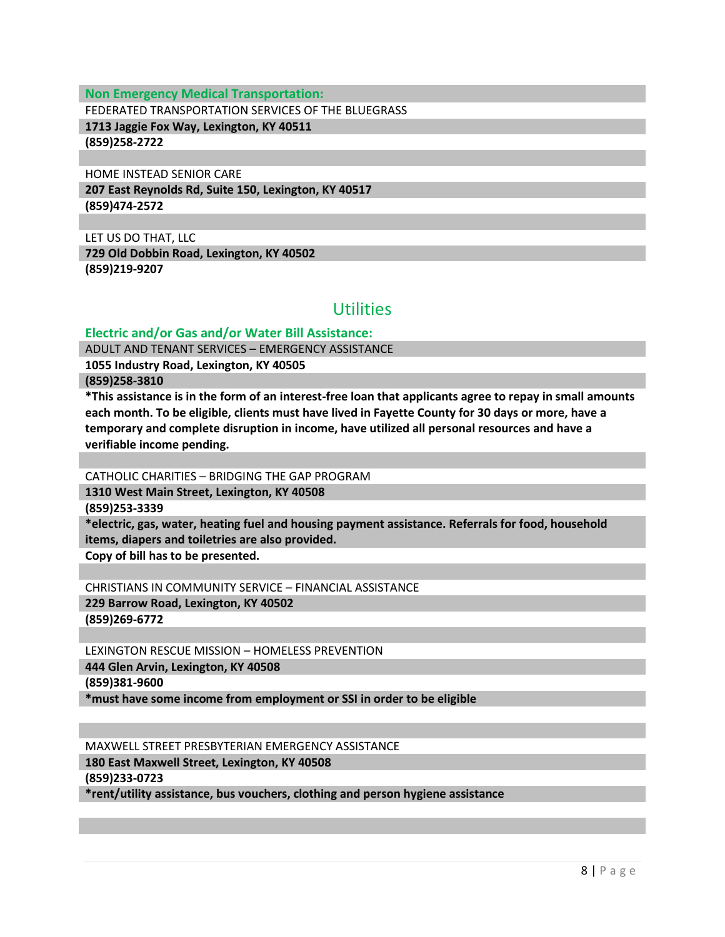**Non Emergency Medical Transportation:**

FEDERATED TRANSPORTATION SERVICES OF THE BLUEGRASS

**1713 Jaggie Fox Way, Lexington, KY 40511 (859)258-2722**

HOME INSTEAD SENIOR CARE

**207 East Reynolds Rd, Suite 150, Lexington, KY 40517 (859)474-2572**

LET US DO THAT, LLC **729 Old Dobbin Road, Lexington, KY 40502 (859)219-9207**

## Utilities

### **Electric and/or Gas and/or Water Bill Assistance:**

ADULT AND TENANT SERVICES – EMERGENCY ASSISTANCE

**1055 Industry Road, Lexington, KY 40505**

**(859)258-3810**

**\*This assistance is in the form of an interest-free loan that applicants agree to repay in small amounts each month. To be eligible, clients must have lived in Fayette County for 30 days or more, have a temporary and complete disruption in income, have utilized all personal resources and have a verifiable income pending.**

CATHOLIC CHARITIES – BRIDGING THE GAP PROGRAM

**1310 West Main Street, Lexington, KY 40508**

**(859)253-3339**

**\*electric, gas, water, heating fuel and housing payment assistance. Referrals for food, household items, diapers and toiletries are also provided.**

**Copy of bill has to be presented.**

CHRISTIANS IN COMMUNITY SERVICE – FINANCIAL ASSISTANCE

**229 Barrow Road, Lexington, KY 40502 (859)269-6772**

LEXINGTON RESCUE MISSION – HOMELESS PREVENTION

**444 Glen Arvin, Lexington, KY 40508**

**(859)381-9600**

**\*must have some income from employment or SSI in order to be eligible**

MAXWELL STREET PRESBYTERIAN EMERGENCY ASSISTANCE

**180 East Maxwell Street, Lexington, KY 40508**

**(859)233-0723**

**\*rent/utility assistance, bus vouchers, clothing and person hygiene assistance**